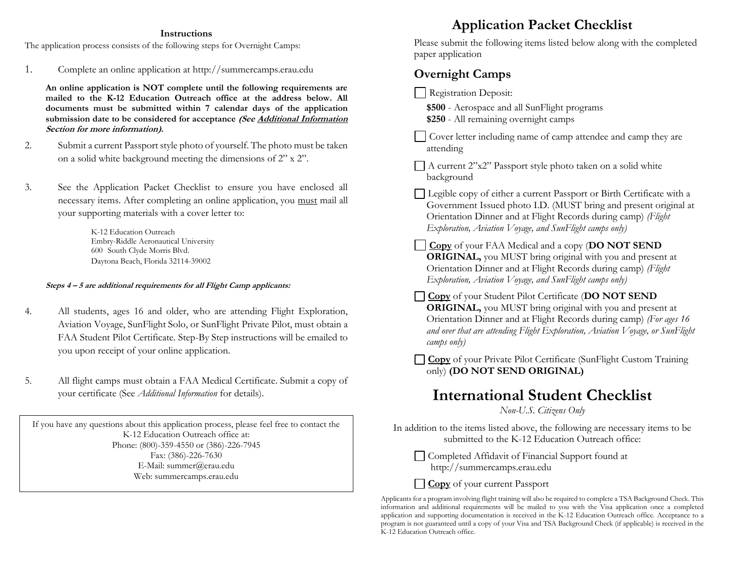### **Instructions**

The application process consists of the following steps for Overnight Camps:

1. Complete an online application at http://summercamps.erau.edu

**An online application is NOT complete until the following requirements are mailed to the K-12 Education Outreach office at the address below. All documents must be submitted within 7 calendar days of the application submission date to be considered for acceptance (See Additional Information Section for more information).**

- 2. Submit a current Passport style photo of yourself. The photo must be taken on a solid white background meeting the dimensions of 2" x 2".
- 3. See the Application Packet Checklist to ensure you have enclosed all necessary items. After completing an online application, you must mail all your supporting materials with a cover letter to:

K-12 Education Outreach Embry-Riddle Aeronautical University 600 South Clyde Morris Blvd. Daytona Beach, Florida 32114-39002

#### **Steps 4 – 5 are additional requirements for all Flight Camp applicants:**

- 4. All students, ages 16 and older, who are attending Flight Exploration, Aviation Voyage, SunFlight Solo, or SunFlight Private Pilot, must obtain a FAA Student Pilot Certificate. Step-By Step instructions will be emailed to you upon receipt of your online application.
- 5. All flight camps must obtain a FAA Medical Certificate. Submit a copy of your certificate (See *Additional Information* for details).

If you have any questions about this application process, please feel free to contact the K-12 Education Outreach office at: Phone: (800)-359-4550 or (386)-226-7945 Fax: (386)-226-7630 E-Mail: summer@erau.edu Web: summercamps.erau.edu

## **Application Packet Checklist**

Please submit the following items listed below along with the completed paper application

### **Overnight Camps**

Registration Deposit:

**\$500** - Aerospace and all SunFlight programs

**\$250** - All remaining overnight camps

Cover letter including name of camp attendee and camp they are attending

 $\Box$  A current 2"x2" Passport style photo taken on a solid white background

Legible copy of either a current Passport or Birth Certificate with a Government Issued photo I.D. (MUST bring and present original at Orientation Dinner and at Flight Records during camp) *(Flight Exploration, Aviation Voyage, and SunFlight camps only)*

**Copy** of your FAA Medical and a copy (**DO NOT SEND ORIGINAL,** you MUST bring original with you and present at Orientation Dinner and at Flight Records during camp) *(Flight Exploration, Aviation Voyage, and SunFlight camps only)*

**Copy** of your Student Pilot Certificate (**DO NOT SEND ORIGINAL,** you MUST bring original with you and present at Orientation Dinner and at Flight Records during camp) *(For ages 16 and over that are attending Flight Exploration, Aviation Voyage, or SunFlight camps only)* l,

**Copy** of your Private Pilot Certificate (SunFlight Custom Training only) **(DO NOT SEND ORIGINAL)**

## **International Student Checklist**

*Non-U.S. Citizens Only*

In addition to the items listed above, the following are necessary items to be submitted to the K-12 Education Outreach office:

Completed Affidavit of Financial Support found at http://summercamps.erau.edu

**Copy** of your current Passport

Applicants for a program involving flight training will also be required to complete a TSA Background Check. This information and additional requirements will be mailed to you with the Visa application once a completed application and supporting documentation is received in the K-12 Education Outreach office. Acceptance to a program is not guaranteed until a copy of your Visa and TSA Background Check (if applicable) is received in the K-12 Education Outreach office.